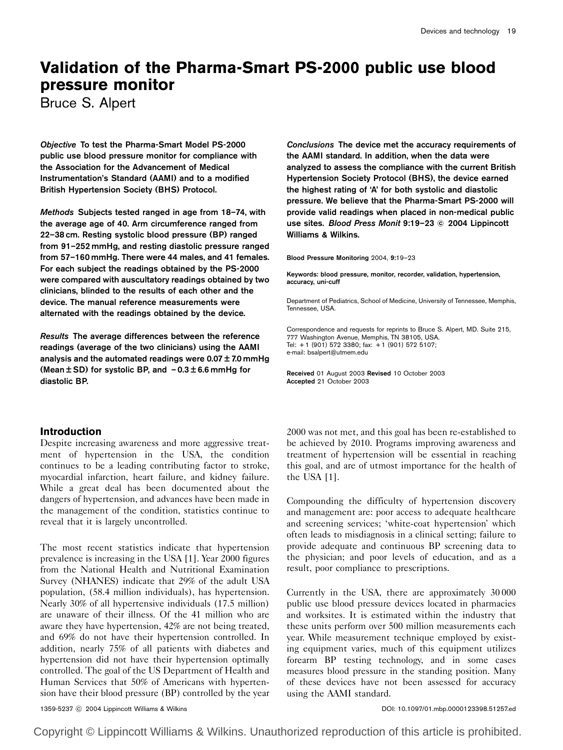# Validation of the Pharma-Smart PS-2000 public use blood pressure monitor

Bruce S. Alpert

Objective To test the Pharma-Smart Model PS-2000 public use blood pressure monitor for compliance with the Association for the Advancement of Medical Instrumentation's Standard (AAMI) and to a modified British Hypertension Society (BHS) Protocol.

Methods Subjects tested ranged in age from 18–74, with the average age of 40. Arm circumference ranged from 22–38 cm. Resting systolic blood pressure (BP) ranged from 91–252 mmHg, and resting diastolic pressure ranged from 57–160 mmHg. There were 44 males, and 41 females. For each subject the readings obtained by the PS-2000 were compared with auscultatory readings obtained by two clinicians, blinded to the results of each other and the device. The manual reference measurements were alternated with the readings obtained by the device.

Results The average differences between the reference readings (average of the two clinicians) using the AAMI analysis and the automated readings were  $0.07 \pm 7.0$  mmHg (Mean  $\pm$  SD) for systolic BP, and  $-0.3\pm6.6$  mmHg for diastolic BP.

## Introduction

Despite increasing awareness and more aggressive treatment of hypertension in the USA, the condition continues to be a leading contributing factor to stroke, myocardial infarction, heart failure, and kidney failure. While a great deal has been documented about the dangers of hypertension, and advances have been made in the management of the condition, statistics continue to reveal that it is largely uncontrolled.

The most recent statistics indicate that hypertension prevalence is increasing in the USA [1]. Year 2000 figures from the National Health and Nutritional Examination Survey (NHANES) indicate that 29% of the adult USA population, (58.4 million individuals), has hypertension. Nearly 30% of all hypertensive individuals (17.5 million) are unaware of their illness. Of the 41 million who are aware they have hypertension, 42% are not being treated, and 69% do not have their hypertension controlled. In addition, nearly 75% of all patients with diabetes and hypertension did not have their hypertension optimally controlled. The goal of the US Department of Health and Human Services that 50% of Americans with hypertension have their blood pressure (BP) controlled by the year

Conclusions The device met the accuracy requirements of the AAMI standard. In addition, when the data were analyzed to assess the compliance with the current British Hypertension Society Protocol (BHS), the device earned the highest rating of 'A' for both systolic and diastolic pressure. We believe that the Pharma-Smart PS-2000 will provide valid readings when placed in non-medical public use sites. Blood Press Monit 9:19-23 © 2004 Lippincott Williams & Wilkins.

Blood Pressure Monitoring 2004, 9:19–23

Keywords: blood pressure, monitor, recorder, validation, hypertension, accuracy, uni-cuff

Department of Pediatrics, School of Medicine, University of Tennessee, Memphis, Tennessee, USA.

Correspondence and requests for reprints to Bruce S. Alpert, MD. Suite 215, 777 Washington Avenue, Memphis, TN 38105, USA. Tel: + 1 (901) 572 3380; fax: + 1 (901) 572 5107; e-mail: bsalpert@utmem.edu

Received 01 August 2003 Revised 10 October 2003 Accepted 21 October 2003

2000 was not met, and this goal has been re-established to be achieved by 2010. Programs improving awareness and treatment of hypertension will be essential in reaching this goal, and are of utmost importance for the health of the USA [1].

Compounding the difficulty of hypertension discovery and management are: poor access to adequate healthcare and screening services; 'white-coat hypertension' which often leads to misdiagnosis in a clinical setting; failure to provide adequate and continuous BP screening data to the physician; and poor levels of education, and as a result, poor compliance to prescriptions.

Currently in the USA, there are approximately 30 000 public use blood pressure devices located in pharmacies and worksites. It is estimated within the industry that these units perform over 500 million measurements each year. While measurement technique employed by existing equipment varies, much of this equipment utilizes forearm BP testing technology, and in some cases measures blood pressure in the standing position. Many of these devices have not been assessed for accuracy using the AAMI standard.

1359-5237 c 2004 Lippincott Williams & Wilkins Company of Company of Company of Company of Company of Company of Company of Company of Company of Company of Company of Company of Company of Company of Company of Company of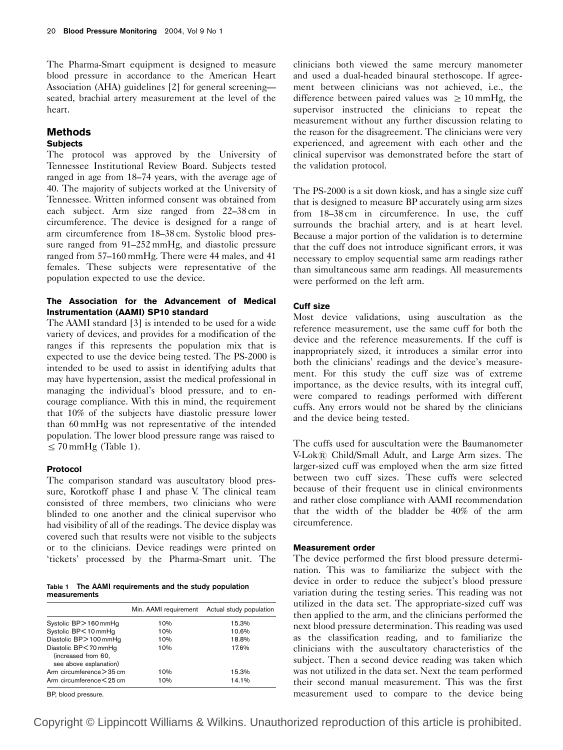The Pharma-Smart equipment is designed to measure blood pressure in accordance to the American Heart Association (AHA) guidelines [2] for general screening seated, brachial artery measurement at the level of the heart.

## Methods

## **Subjects**

The protocol was approved by the University of Tennessee Institutional Review Board. Subjects tested ranged in age from 18–74 years, with the average age of 40. The majority of subjects worked at the University of Tennessee. Written informed consent was obtained from each subject. Arm size ranged from 22–38 cm in circumference. The device is designed for a range of arm circumference from 18–38 cm. Systolic blood pressure ranged from 91–252 mmHg, and diastolic pressure ranged from 57–160 mmHg. There were 44 males, and 41 females. These subjects were representative of the population expected to use the device.

## The Association for the Advancement of Medical Instrumentation (AAMI) SP10 standard

The AAMI standard [3] is intended to be used for a wide variety of devices, and provides for a modification of the ranges if this represents the population mix that is expected to use the device being tested. The PS-2000 is intended to be used to assist in identifying adults that may have hypertension, assist the medical professional in managing the individual's blood pressure, and to encourage compliance. With this in mind, the requirement that 10% of the subjects have diastolic pressure lower than 60 mmHg was not representative of the intended population. The lower blood pressure range was raised to  $\leq$  70 mmHg (Table 1).

#### Protocol

The comparison standard was auscultatory blood pressure, Korotkoff phase I and phase V. The clinical team consisted of three members, two clinicians who were blinded to one another and the clinical supervisor who had visibility of all of the readings. The device display was covered such that results were not visible to the subjects or to the clinicians. Device readings were printed on 'tickets' processed by the Pharma-Smart unit. The

Table 1 The AAMI requirements and the study population measurements

|                                                                         |     | Min. AAMI requirement Actual study population |
|-------------------------------------------------------------------------|-----|-----------------------------------------------|
| Systolic BP>160mmHg                                                     | 10% | 15.3%                                         |
| Systolic BP<10mmHq                                                      | 10% | 10.6%                                         |
| Diastolic BP > 100 mmHg                                                 | 10% | 18.8%                                         |
| Diastolic BP < 70 mmHg<br>(increased from 60,<br>see above explanation) | 10% | 17.6%                                         |
| Arm circumference > 35 cm                                               | 10% | 15.3%                                         |
| Arm circumference < 25 cm                                               | 10% | 14.1%                                         |

BP, blood pressure.

clinicians both viewed the same mercury manometer and used a dual-headed binaural stethoscope. If agreement between clinicians was not achieved, i.e., the difference between paired values was  $\geq 10$  mmHg, the supervisor instructed the clinicians to repeat the measurement without any further discussion relating to the reason for the disagreement. The clinicians were very experienced, and agreement with each other and the clinical supervisor was demonstrated before the start of the validation protocol.

The PS-2000 is a sit down kiosk, and has a single size cuff that is designed to measure BP accurately using arm sizes from 18–38 cm in circumference. In use, the cuff surrounds the brachial artery, and is at heart level. Because a major portion of the validation is to determine that the cuff does not introduce significant errors, it was necessary to employ sequential same arm readings rather than simultaneous same arm readings. All measurements were performed on the left arm.

## Cuff size

Most device validations, using auscultation as the reference measurement, use the same cuff for both the device and the reference measurements. If the cuff is inappropriately sized, it introduces a similar error into both the clinicians' readings and the device's measurement. For this study the cuff size was of extreme importance, as the device results, with its integral cuff, were compared to readings performed with different cuffs. Any errors would not be shared by the clinicians and the device being tested.

The cuffs used for auscultation were the Baumanometer V-Lok*s* Child/Small Adult, and Large Arm sizes. The larger-sized cuff was employed when the arm size fitted between two cuff sizes. These cuffs were selected because of their frequent use in clinical environments and rather close compliance with AAMI recommendation that the width of the bladder be 40% of the arm circumference.

#### Measurement order

The device performed the first blood pressure determination. This was to familiarize the subject with the device in order to reduce the subject's blood pressure variation during the testing series. This reading was not utilized in the data set. The appropriate-sized cuff was then applied to the arm, and the clinicians performed the next blood pressure determination. This reading was used as the classification reading, and to familiarize the clinicians with the auscultatory characteristics of the subject. Then a second device reading was taken which was not utilized in the data set. Next the team performed their second manual measurement. This was the first measurement used to compare to the device being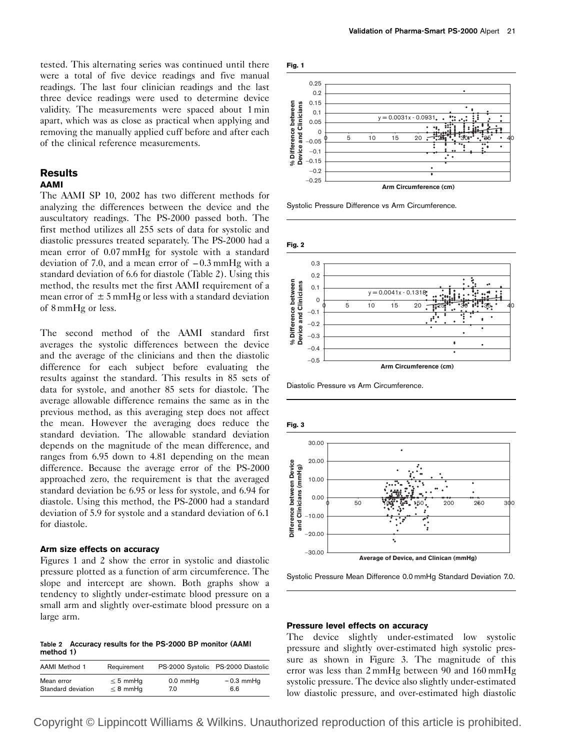tested. This alternating series was continued until there were a total of five device readings and five manual readings. The last four clinician readings and the last three device readings were used to determine device validity. The measurements were spaced about 1 min apart, which was as close as practical when applying and removing the manually applied cuff before and after each of the clinical reference measurements.

#### **Results** AAMI

The AAMI SP 10, 2002 has two different methods for analyzing the differences between the device and the auscultatory readings. The PS-2000 passed both. The first method utilizes all 255 sets of data for systolic and diastolic pressures treated separately. The PS-2000 had a mean error of 0.07 mmHg for systole with a standard deviation of 7.0, and a mean error of  $-0.3$  mmHg with a standard deviation of 6.6 for diastole (Table 2). Using this method, the results met the first AAMI requirement of a mean error of  $\pm$  5 mmHg or less with a standard deviation of 8 mmHg or less.

The second method of the AAMI standard first averages the systolic differences between the device and the average of the clinicians and then the diastolic difference for each subject before evaluating the results against the standard. This results in 85 sets of data for systole, and another 85 sets for diastole. The average allowable difference remains the same as in the previous method, as this averaging step does not affect the mean. However the averaging does reduce the standard deviation. The allowable standard deviation depends on the magnitude of the mean difference, and ranges from 6.95 down to 4.81 depending on the mean difference. Because the average error of the PS-2000 approached zero, the requirement is that the averaged standard deviation be 6.95 or less for systole, and 6.94 for diastole. Using this method, the PS-2000 had a standard deviation of 5.9 for systole and a standard deviation of 6.1 for diastole.

#### Arm size effects on accuracy

Figures 1 and 2 show the error in systolic and diastolic pressure plotted as a function of arm circumference. The slope and intercept are shown. Both graphs show a tendency to slightly under-estimate blood pressure on a small arm and slightly over-estimate blood pressure on a large arm.

Table 2 Accuracy results for the PS-2000 BP monitor (AAMI method 1)

| AAMI Method 1      | Requirement   |               | PS-2000 Systolic PS-2000 Diastolic |
|--------------------|---------------|---------------|------------------------------------|
| Mean error         | $\leq$ 5 mmHq | $0.0$ mm $Hq$ | $-0.3$ mmHq                        |
| Standard deviation | $\leq$ 8 mmHq | 7.0           | 6.6                                |



Systolic Pressure Difference vs Arm Circumference.



Diastolic Pressure vs Arm Circumference.



Systolic Pressure Mean Difference 0.0 mmHg Standard Deviation 7.0.

#### Pressure level effects on accuracy

The device slightly under-estimated low systolic pressure and slightly over-estimated high systolic pressure as shown in Figure 3. The magnitude of this error was less than 2 mmHg between 90 and 160 mmHg systolic pressure. The device also slightly under-estimated low diastolic pressure, and over-estimated high diastolic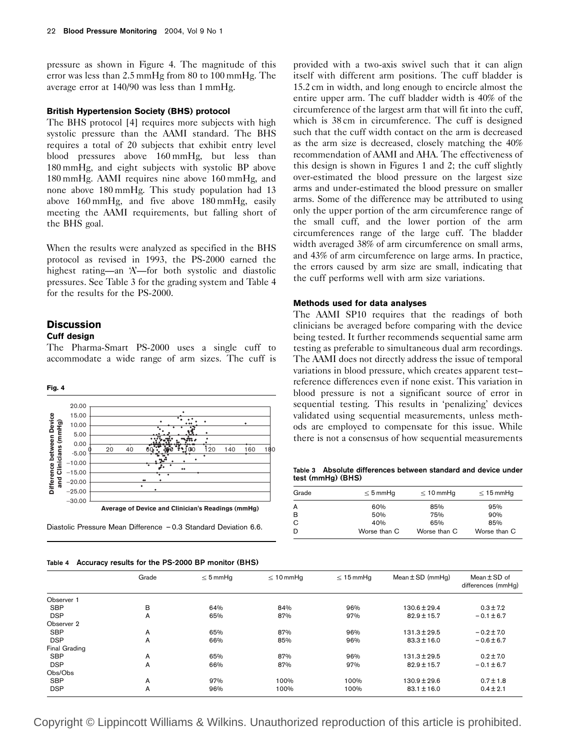pressure as shown in Figure 4. The magnitude of this error was less than 2.5 mmHg from 80 to 100 mmHg. The average error at 140/90 was less than 1 mmHg.

#### British Hypertension Society (BHS) protocol

The BHS protocol [4] requires more subjects with high systolic pressure than the AAMI standard. The BHS requires a total of 20 subjects that exhibit entry level blood pressures above 160 mmHg, but less than 180 mmHg, and eight subjects with systolic BP above 180 mmHg. AAMI requires nine above 160 mmHg, and none above 180 mmHg. This study population had 13 above 160 mmHg, and five above 180 mmHg, easily meeting the AAMI requirements, but falling short of the BHS goal.

When the results were analyzed as specified in the BHS protocol as revised in 1993, the PS-2000 earned the highest rating—an 'A—for both systolic and diastolic pressures. See Table 3 for the grading system and Table 4 for the results for the PS-2000.

## **Discussion**

## Cuff design

The Pharma-Smart PS-2000 uses a single cuff to accommodate a wide range of arm sizes. The cuff is



|  |  |  | Table 4 Accuracy results for the PS-2000 BP monitor (BHS) |  |
|--|--|--|-----------------------------------------------------------|--|
|  |  |  |                                                           |  |

provided with a two-axis swivel such that it can align itself with different arm positions. The cuff bladder is 15.2 cm in width, and long enough to encircle almost the entire upper arm. The cuff bladder width is 40% of the circumference of the largest arm that will fit into the cuff, which is  $38 \text{ cm}$  in circumference. The cuff is designed such that the cuff width contact on the arm is decreased as the arm size is decreased, closely matching the 40% recommendation of AAMI and AHA. The effectiveness of this design is shown in Figures 1 and 2; the cuff slightly over-estimated the blood pressure on the largest size arms and under-estimated the blood pressure on smaller arms. Some of the difference may be attributed to using only the upper portion of the arm circumference range of the small cuff, and the lower portion of the arm circumferences range of the large cuff. The bladder width averaged 38% of arm circumference on small arms, and 43% of arm circumference on large arms. In practice, the errors caused by arm size are small, indicating that the cuff performs well with arm size variations.

#### Methods used for data analyses

The AAMI SP10 requires that the readings of both clinicians be averaged before comparing with the device being tested. It further recommends sequential same arm testing as preferable to simultaneous dual arm recordings. The AAMI does not directly address the issue of temporal variations in blood pressure, which creates apparent test– reference differences even if none exist. This variation in blood pressure is not a significant source of error in sequential testing. This results in 'penalizing' devices validated using sequential measurements, unless methods are employed to compensate for this issue. While there is not a consensus of how sequential measurements

Table 3 Absolute differences between standard and device under test (mmHg) (BHS)

| Grade | $\leq$ 5 mmHq | $\leq 10$ mmHq | $\leq 15$ mmHq |
|-------|---------------|----------------|----------------|
| А     | 60%           | 85%            | 95%            |
| B     | 50%           | 75%            | 90%            |
| С     | 40%           | 65%            | 85%            |
| D     | Worse than C  | Worse than C   | Worse than C   |
|       |               |                |                |

|               | Grade | $\leq$ 5 mmHq | $\leq 10$ mmHq | $\leq 15$ mmHq | Mean $\pm$ SD (mmHg) | Mean $\pm$ SD of<br>differences (mmHq) |  |  |
|---------------|-------|---------------|----------------|----------------|----------------------|----------------------------------------|--|--|
| Observer 1    |       |               |                |                |                      |                                        |  |  |
| <b>SBP</b>    | B     | 64%           | 84%            | 96%            | $130.6 \pm 29.4$     | $0.3 \pm 7.2$                          |  |  |
| <b>DSP</b>    | A     | 65%           | 87%            | 97%            | $82.9 \pm 15.7$      | $-0.1 \pm 6.7$                         |  |  |
| Observer 2    |       |               |                |                |                      |                                        |  |  |
| <b>SBP</b>    | A     | 65%           | 87%            | 96%            | $131.3 \pm 29.5$     | $-0.2 \pm 7.0$                         |  |  |
| <b>DSP</b>    | A     | 66%           | 85%            | 96%            | $83.3 \pm 16.0$      | $-0.6 \pm 6.7$                         |  |  |
| Final Grading |       |               |                |                |                      |                                        |  |  |
| <b>SBP</b>    | A     | 65%           | 87%            | 96%            | $131.3 \pm 29.5$     | $0.2 \pm 7.0$                          |  |  |
| <b>DSP</b>    | A     | 66%           | 87%            | 97%            | $82.9 \pm 15.7$      | $-0.1 \pm 6.7$                         |  |  |
| Obs/Obs       |       |               |                |                |                      |                                        |  |  |
| <b>SBP</b>    | A     | 97%           | 100%           | 100%           | $130.9 \pm 29.6$     | $0.7 \pm 1.8$                          |  |  |
| <b>DSP</b>    | A     | 96%           | 100%           | 100%           | $83.1 \pm 16.0$      | $0.4 \pm 2.1$                          |  |  |
|               |       |               |                |                |                      |                                        |  |  |